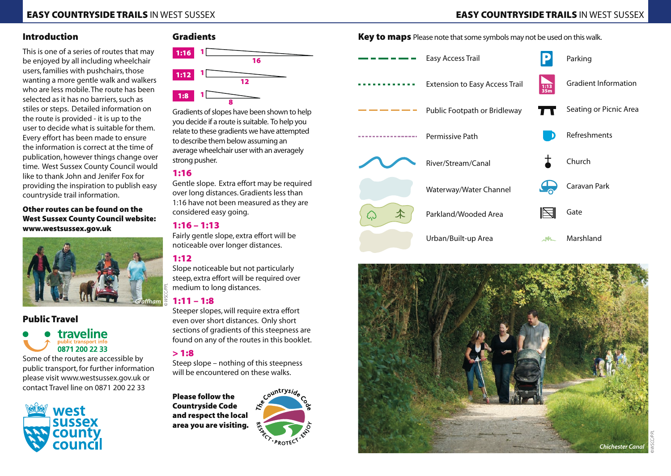## Introduction

This is one of a series of routes that may be enjoyed by all including wheelchair users, families with pushchairs, those wanting a more gentle walk and walkers who are less mobile. The route has been selected as it has no barriers, such as stiles or steps. Detailed information on the route is provided - it is up to the user to decide what is suitable for them. Every effort has been made to ensure the information is correct at the time of publication, however things change over time. West Sussex County Council would like to thank John and Jenifer Fox for providing the inspiration to publish easy countryside trail information.

Other routes can be found on the West Sussex County Council website: www.westsussex.gov.uk



#### Public Travel

# traveline 0871 200 22 33

Some of the routes are accessible by public transport, for further information please visit www.westsussex.gov.uk or contact Travel line on 0871 200 22 33



# Gradients



Gradients of slopes have been shown to help you decide if a route is suitable. To help you relate to these gradients we have attempted to describe them below assuming an average wheelchair user with an averagely strong pusher.

## 1:16

Gentle slope. Extra effort may be required over long distances. Gradients less than 1:16 have not been measured as they are considered easy going.

#### 1:16 – 1:13

Fairly gentle slope, extra effort will be noticeable over longer distances.

# 1:12

Slope noticeable but not particularly steep, extra effort will be required over medium to long distances.

#### 1:11 – 1:8

Steeper slopes, will require extra effort even over short distances. Only short sections of gradients of this steepness are found on any of the routes in this booklet.

## $> 1:8$

Steep slope – nothing of this steepness will be encountered on these walks.

Please follow the Countryside Code and respect the local area you are visiting.



Key to maps Please note that some symbols may not be used on this walk.